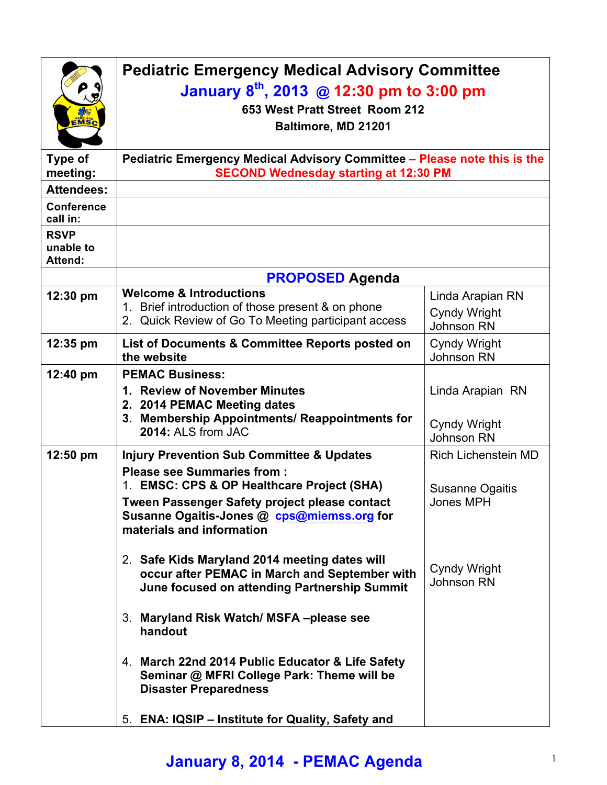| <b>EMSC</b>                                | <b>Pediatric Emergency Medical Advisory Committee</b><br>January $8^{th}$ , 2013 @ 12:30 pm to 3:00 pm<br>653 West Pratt Street Room 212<br>Baltimore, MD 21201                                             |                                                              |  |
|--------------------------------------------|-------------------------------------------------------------------------------------------------------------------------------------------------------------------------------------------------------------|--------------------------------------------------------------|--|
| Type of<br>meeting:                        | Pediatric Emergency Medical Advisory Committee - Please note this is the<br><b>SECOND Wednesday starting at 12:30 PM</b>                                                                                    |                                                              |  |
| <b>Attendees:</b>                          |                                                                                                                                                                                                             |                                                              |  |
| <b>Conference</b><br>call in:              |                                                                                                                                                                                                             |                                                              |  |
| <b>RSVP</b><br>unable to<br><b>Attend:</b> |                                                                                                                                                                                                             |                                                              |  |
|                                            | <b>PROPOSED Agenda</b>                                                                                                                                                                                      |                                                              |  |
| 12:30 pm                                   | <b>Welcome &amp; Introductions</b><br>1. Brief introduction of those present & on phone<br>2. Quick Review of Go To Meeting participant access                                                              | Linda Arapian RN<br><b>Cyndy Wright</b><br><b>Johnson RN</b> |  |
| 12:35 pm                                   | List of Documents & Committee Reports posted on<br>the website                                                                                                                                              | <b>Cyndy Wright</b><br><b>Johnson RN</b>                     |  |
| 12:40 pm                                   | <b>PEMAC Business:</b><br>1. Review of November Minutes<br>2. 2014 PEMAC Meeting dates<br>3. Membership Appointments/ Reappointments for<br>2014: ALS from JAC                                              | Linda Arapian RN<br><b>Cyndy Wright</b>                      |  |
| 12:50 pm                                   | <b>Injury Prevention Sub Committee &amp; Updates</b>                                                                                                                                                        | <b>Johnson RN</b><br><b>Rich Lichenstein MD</b>              |  |
|                                            | <b>Please see Summaries from:</b><br>1. EMSC: CPS & OP Healthcare Project (SHA)<br>Tween Passenger Safety project please contact<br>Susanne Ogaitis-Jones @ cps@miemss.org for<br>materials and information | Susanne Ogaitis<br>Jones MPH                                 |  |
|                                            | 2. Safe Kids Maryland 2014 meeting dates will<br>occur after PEMAC in March and September with<br>June focused on attending Partnership Summit                                                              | Cyndy Wright<br>Johnson RN                                   |  |
|                                            | 3. Maryland Risk Watch/ MSFA-please see<br>handout                                                                                                                                                          |                                                              |  |
|                                            | 4. March 22nd 2014 Public Educator & Life Safety<br>Seminar @ MFRI College Park: Theme will be<br><b>Disaster Preparedness</b>                                                                              |                                                              |  |
|                                            | 5. ENA: IQSIP - Institute for Quality, Safety and                                                                                                                                                           |                                                              |  |

## **January 8, 2014 - PEMAC Agenda** <sup>1</sup>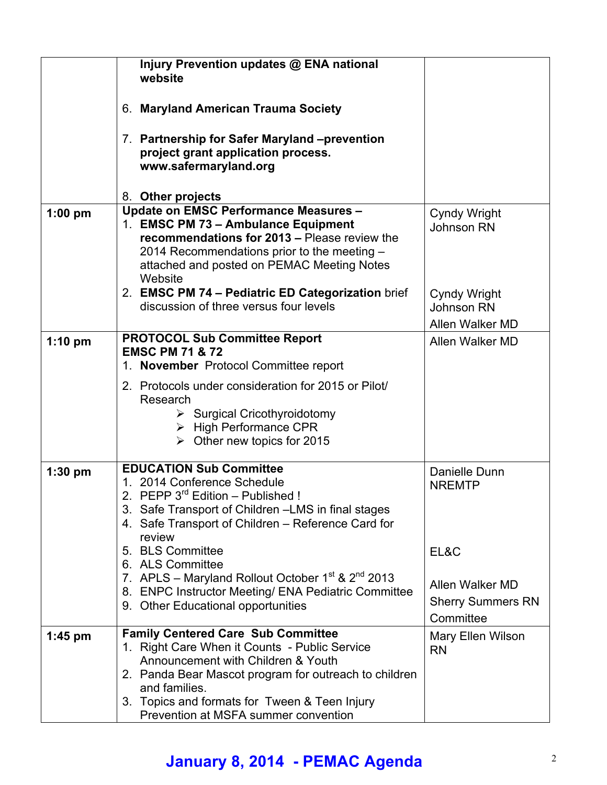|           | Injury Prevention updates @ ENA national<br>website                                                                                                                                                                                                                                                 |                                                                  |
|-----------|-----------------------------------------------------------------------------------------------------------------------------------------------------------------------------------------------------------------------------------------------------------------------------------------------------|------------------------------------------------------------------|
|           | 6. Maryland American Trauma Society                                                                                                                                                                                                                                                                 |                                                                  |
|           | 7. Partnership for Safer Maryland -prevention<br>project grant application process.<br>www.safermaryland.org                                                                                                                                                                                        |                                                                  |
|           | 8. Other projects                                                                                                                                                                                                                                                                                   |                                                                  |
| $1:00$ pm | <b>Update on EMSC Performance Measures -</b><br>1. EMSC PM 73 - Ambulance Equipment<br>recommendations for 2013 - Please review the<br>2014 Recommendations prior to the meeting -<br>attached and posted on PEMAC Meeting Notes<br>Website                                                         | <b>Cyndy Wright</b><br><b>Johnson RN</b>                         |
|           | 2. EMSC PM 74 - Pediatric ED Categorization brief<br>discussion of three versus four levels                                                                                                                                                                                                         | Cyndy Wright<br>Johnson RN<br>Allen Walker MD                    |
| $1:10$ pm | <b>PROTOCOL Sub Committee Report</b><br><b>EMSC PM 71 &amp; 72</b><br>1. November Protocol Committee report                                                                                                                                                                                         | Allen Walker MD                                                  |
|           | 2. Protocols under consideration for 2015 or Pilot/<br>Research<br>$\triangleright$ Surgical Cricothyroidotomy<br>$\triangleright$ High Performance CPR<br>$\triangleright$ Other new topics for 2015                                                                                               |                                                                  |
| $1:30$ pm | <b>EDUCATION Sub Committee</b><br>1. 2014 Conference Schedule<br>PEPP 3 <sup>rd</sup> Edition - Published !<br>2.<br>3. Safe Transport of Children - LMS in final stages<br>4. Safe Transport of Children - Reference Card for<br>review                                                            | Danielle Dunn<br><b>NREMTP</b>                                   |
|           | 5. BLS Committee<br>6. ALS Committee<br>7. APLS – Maryland Rollout October $1^{st}$ & $2^{nd}$ 2013<br>8. ENPC Instructor Meeting/ ENA Pediatric Committee<br>9. Other Educational opportunities                                                                                                    | EL&C<br>Allen Walker MD<br><b>Sherry Summers RN</b><br>Committee |
| $1:45$ pm | <b>Family Centered Care Sub Committee</b><br>1. Right Care When it Counts - Public Service<br>Announcement with Children & Youth<br>2. Panda Bear Mascot program for outreach to children<br>and families.<br>3. Topics and formats for Tween & Teen Injury<br>Prevention at MSFA summer convention | Mary Ellen Wilson<br><b>RN</b>                                   |

## **January 8, 2014 - PEMAC Agenda** <sup>2</sup>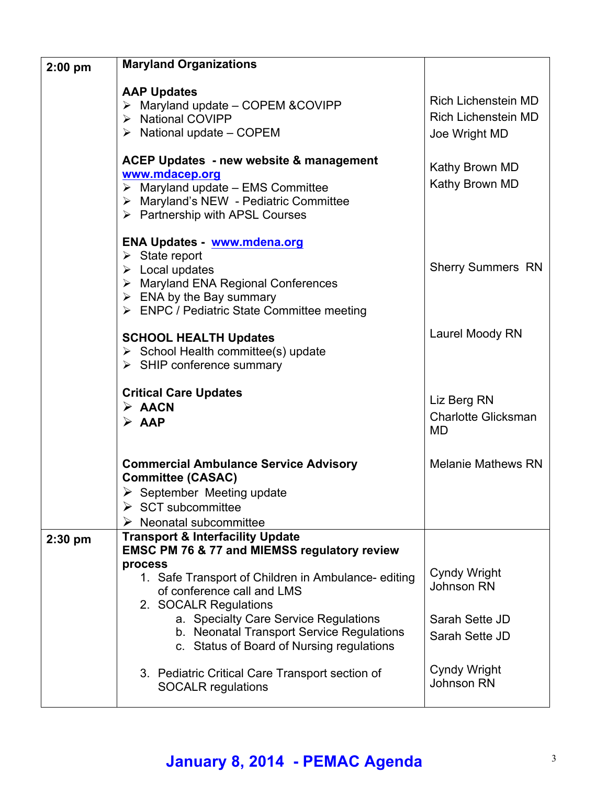| $2:00$ pm | <b>Maryland Organizations</b>                                                                                                                                                                                                                           |                                                                           |
|-----------|---------------------------------------------------------------------------------------------------------------------------------------------------------------------------------------------------------------------------------------------------------|---------------------------------------------------------------------------|
|           | <b>AAP Updates</b><br>Maryland update - COPEM & COVIPP<br>≻<br>> National COVIPP<br>$\triangleright$ National update – COPEM                                                                                                                            | <b>Rich Lichenstein MD</b><br><b>Rich Lichenstein MD</b><br>Joe Wright MD |
|           | <b>ACEP Updates - new website &amp; management</b><br>www.mdacep.org<br>$\triangleright$ Maryland update – EMS Committee<br>> Maryland's NEW - Pediatric Committee<br>$\triangleright$ Partnership with APSL Courses                                    | Kathy Brown MD<br>Kathy Brown MD                                          |
|           | ENA Updates - www.mdena.org<br>$\triangleright$ State report<br>$\triangleright$ Local updates<br>$\triangleright$ Maryland ENA Regional Conferences<br>$\triangleright$ ENA by the Bay summary<br>> ENPC / Pediatric State Committee meeting           | <b>Sherry Summers RN</b>                                                  |
|           | <b>SCHOOL HEALTH Updates</b><br>$\triangleright$ School Health committee(s) update<br>$\triangleright$ SHIP conference summary                                                                                                                          | Laurel Moody RN                                                           |
|           | <b>Critical Care Updates</b><br>$\triangleright$ AACN<br>$\triangleright$ AAP                                                                                                                                                                           | Liz Berg RN<br><b>Charlotte Glicksman</b><br>MD                           |
|           | <b>Commercial Ambulance Service Advisory</b><br><b>Committee (CASAC)</b><br>$\triangleright$ September Meeting update<br>$\triangleright$ SCT subcommittee<br>Neonatal subcommittee                                                                     | <b>Melanie Mathews RN</b>                                                 |
| $2:30$ pm | <b>Transport &amp; Interfacility Update</b><br><b>EMSC PM 76 &amp; 77 and MIEMSS regulatory review</b>                                                                                                                                                  |                                                                           |
|           | process<br>1. Safe Transport of Children in Ambulance-editing<br>of conference call and LMS<br>2. SOCALR Regulations<br>a. Specialty Care Service Regulations<br>b. Neonatal Transport Service Regulations<br>c. Status of Board of Nursing regulations | Cyndy Wright<br><b>Johnson RN</b><br>Sarah Sette JD<br>Sarah Sette JD     |
|           | 3. Pediatric Critical Care Transport section of<br><b>SOCALR</b> regulations                                                                                                                                                                            | Cyndy Wright<br><b>Johnson RN</b>                                         |

## **January 8, 2014 - PEMAC Agenda** <sup>3</sup>